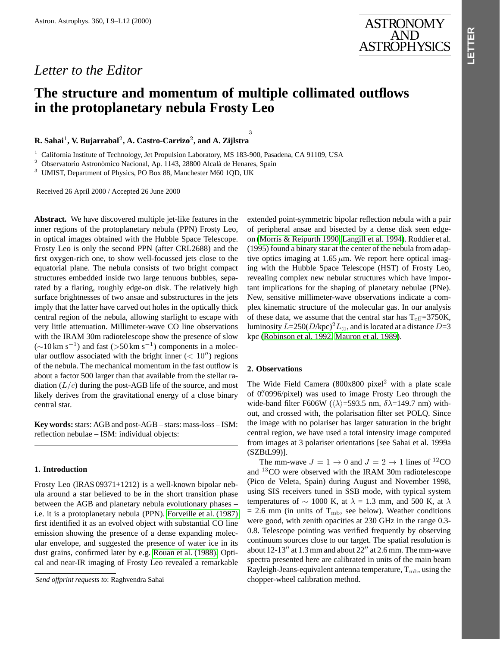# *Letter to the Editor*

# **The structure and momentum of multiple collimated outflows in the protoplanetary nebula Frosty Leo**

3

## **R. Sahai**<sup>1</sup>**, V. Bujarrabal**<sup>2</sup>**, A. Castro-Carrizo**<sup>2</sup>**, and A. Zijlstra**

<sup>1</sup> California Institute of Technology, Jet Propulsion Laboratory, MS 183-900, Pasadena, CA 91109, USA<br><sup>2</sup> Observatoria Astronómica Nacional An 1142, 28800 Algelá de Hangres, Spein

Observatorio Astronómico Nacional, Ap. 1143, 28800 Alcalá de Henares, Spain

<sup>3</sup> UMIST, Department of Physics, PO Box 88, Manchester M60 1QD, UK

Received 26 April 2000 / Accepted 26 June 2000

**Abstract.** We have discovered multiple jet-like features in the inner regions of the protoplanetary nebula (PPN) Frosty Leo, in optical images obtained with the Hubble Space Telescope. Frosty Leo is only the second PPN (after CRL2688) and the first oxygen-rich one, to show well-focussed jets close to the equatorial plane. The nebula consists of two bright compact structures embedded inside two large tenuous bubbles, separated by a flaring, roughly edge-on disk. The relatively high surface brightnesses of two ansae and substructures in the jets imply that the latter have carved out holes in the optically thick central region of the nebula, allowing starlight to escape with very little attenuation. Millimeter-wave CO line observations with the IRAM 30m radiotelescope show the presence of slow  $({\sim}10 \text{ km s}^{-1})$  and fast (>50 km s<sup>-1</sup>) components in a molecular outflow associated with the bright inner  $(< 10^{\prime\prime}$ ) regions of the nebula. The mechanical momentum in the fast outflow is about a factor 500 larger than that available from the stellar radiation  $(L/c)$  during the post-AGB life of the source, and most likely derives from the gravitational energy of a close binary central star.

**Key words:**stars: AGB and post-AGB – stars: mass-loss – ISM: reflection nebulae – ISM: individual objects:

#### **1. Introduction**

Frosty Leo (IRAS 09371+1212) is a well-known bipolar nebula around a star believed to be in the short transition phase between the AGB and planetary nebula evolutionary phases – i.e. it is a protoplanetary nebula (P[PN\). Forveille et al. \(](#page-3-0)1987) first identified it as an evolved object with substantial CO line emission showing the presence of a dense expanding molecular envelope, and suggested the presence of water ice in its dust grains, confirmed later by e.g. Rouan et al. (1988). Optical and near-IR imaging of Frosty Leo revealed a remarkable extended point-symmetric bipolar reflection nebula with a pair of peripheral ansae and bisected by a dense disk seen edgeon (Morris & Reipurth 1990, Langill et al. 1994). Roddier et al. (1995) found a binary star at the center of the nebula from adaptive optics imaging at 1.65  $\mu$ m. We report here optical imaging with the Hubble Space Telescope (HST) of Frosty Leo, revealing complex new nebular structures which have important implications for the shaping of planetary nebulae (PNe). New[, sensitive millimeter-wave observations](#page-3-0) indicate a complex kinematic structure of the molecular gas. In our analysis of these data, we assume that the central star has  $T_{\text{eff}}$ =3750K, luminosity  $L=250(D/\text{kpc})^2L_{\odot}$ , and is located at a distance  $D=3$ kpc (Robinson et al. 1992, Mauron et al. 1989).

#### **2. Observations**

The Wide Field Camera  $(800x800)$  pixel<sup>2</sup> with a plate scale of 0. 0996/pixel) was used to image Frosty Leo through the wide-band filter F606W ( $\langle \lambda \rangle$ =593.5 nm,  $\delta \lambda$ =149.7 nm) without, and crossed with, the polarisation filter set POLQ. Since the image with no polariser has larger saturation in the bright central region, we have used a total intensity image computed from images at 3 polariser orientations [see Sahai et al. 1999a (SZBtL99)].

The mm-wave  $J = 1 \rightarrow 0$  and  $J = 2 \rightarrow 1$  lines of <sup>12</sup>CO and <sup>13</sup>CO were observed with the IRAM 30m radiotelescope (Pico de Veleta, Spain) during August and November 1998, using SIS receivers tuned in SSB mode, with typical system temperatures of  $\sim$  1000 K, at  $\lambda$  = 1.3 mm, and 500 K, at  $\lambda$  $= 2.6$  mm (in units of T<sub>mb</sub>, see below). Weather conditions were good, with zenith opacities at 230 GHz in the range 0.3- 0.8. Telescope pointing was verified frequently by observing continuum sources close to our target. The spatial resolution is about  $12-13''$  at 1.3 mm and about  $22''$  at 2.6 mm. The mm-wave spectra presented here are calibrated in units of the main beam Rayleigh-Jeans-equivalent antenna temperature,  $T_{\rm mb}$ , using the chopper-wheel calibration method.

*Send offprint requests to*: Raghvendra Sahai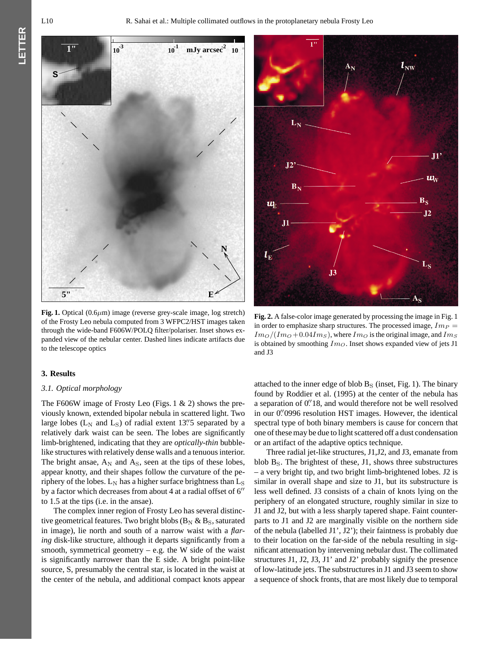**LETTER**ETTER



**Fig. 1.** Optical  $(0.6\mu m)$  image (reverse grey-scale image, log stretch) of the Frosty Leo nebula computed from 3 WFPC2/HST images taken through the wide-band F606W/POLQ filter/polariser. Inset shows expanded view of the nebular center. Dashed lines indicate artifacts due to the telescope optics

#### **3. Results**

### *3.1. Optical morphology*

The F606W image of Frosty Leo (Figs. 1 & 2) shows the previously known, extended bipolar nebula in scattered light. Two large lobes ( $L_N$  and  $L_S$ ) of radial extent 13". S separated by a relatively dark waist can be seen. The lobes are significantly limb-brightened, indicating that they are *optically-thin* bubblelike structures with relatively dense walls and a tenuous interior. The bright ansae,  $A_N$  and  $A_S$ , seen at the tips of these lobes, appear knotty, and their shapes follow the curvature of the periphery of the lobes.  $L_N$  has a higher surface brightness than  $L_S$ by a factor which decreases from about 4 at a radial offset of  $6<sup>′</sup>$ to 1.5 at the tips (i.e. in the ansae).

The complex inner region of Frosty Leo has several distinctive geometrical features. Two bright blobs ( $B_N \& B_S$ , saturated in image), lie north and south of a narrow waist with a *flaring* disk-like structure, although it departs significantly from a smooth, symmetrical geometry  $-$  e.g. the W side of the waist is significantly narrower than the E side. A bright point-like source, S, presumably the central star, is located in the waist at the center of the nebula, and additional compact knots appear



**Fig. 2.** A false-color image generated by processing the image in Fig. 1 in order to emphasize sharp structures. The processed image,  $Im_P =$  $Im_O/(Im_O + 0.04Im_S)$ , where  $Im_O$  is the original image, and  $Im_S$ is obtained by smoothing  $Im<sub>O</sub>$ . Inset shows expanded view of jets J1 and J3

attached to the inner edge of blob  $B<sub>S</sub>$  (inset, Fig. 1). The binary found by Roddier et al. (1995) at the center of the nebula has a separation of 0.<sup>"</sup> 18, and would therefore not be well resolved in our 0. 0996 resolution HST images. However, the identical spectral type of both binary members is cause for concern that one of these may be due to light scattered off a dust condensation or an artifact of the adaptive optics technique.

Three radial jet-like structures, J1,J2, and J3, emanate from blob  $B<sub>S</sub>$ . The brightest of these, J1, shows three substructures – a very bright tip, and two bright limb-brightened lobes. J2 is similar in overall shape and size to J1, but its substructure is less well defined. J3 consists of a chain of knots lying on the periphery of an elongated structure, roughly similar in size to J1 and J2, but with a less sharply tapered shape. Faint counterparts to J1 and J2 are marginally visible on the northern side of the nebula (labelled J1', J2'); their faintness is probably due to their location on the far-side of the nebula resulting in significant attenuation by intervening nebular dust. The collimated structures J1, J2, J3, J1' and J2' probably signify the presence of low-latitude jets. The substructures in J1 and J3 seem to show a sequence of shock fronts, that are most likely due to temporal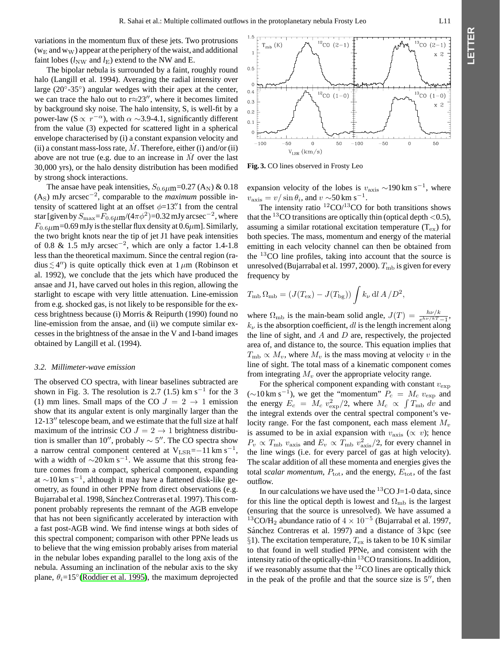variations in the momentum flux of these jets. Two protrusions  $(w<sub>E</sub>$  and  $w<sub>W</sub>$ ) appear at the periphery of the waist, and additional faint lobes  $(l_{\text{NW}}$  and  $l_{\text{E}}$ ) extend to the NW and E.

The bipolar nebula is surrounded by a faint, roughly round halo (Langill et al. 1994). Averaging the radial intensity over large (20◦-35◦) angular wedges with their apex at the center, we can trace the halo out to  $r \approx 23$ ", where it becomes limited by background sky noise. The halo intensity, S, is well-fit by a power-law (S  $\propto r^{-\alpha}$ ), with  $\alpha \sim 3.9$ -4.1, significantly different from the value (3) expected for scattered light in a spherical envelope characterised by (i) a constant expansion velocity and (ii) a constant mass-loss rate,  $\dot{M}$ . Therefore, either (i) and/or (ii) above are not true (e.g. due to an increase in  $\dot{M}$  over the last 30,000 yrs), or the halo density distribution has been modified by strong shock interactions.

The ansae have peak intensities,  $S_{0.6\mu\text{m}}$ =0.27 (A<sub>N</sub>) & 0.18 (AS) mJy arcsec−<sup>2</sup>, comparable to the *maximum* possible intensity of scattered light at an offset  $\phi=13\rlap{.}^{\prime\prime}1$  from the central star [given by  $S_{\text{max}}=F_{0.6\mu\text{m}}/(4\pi\phi^2)=0.32$  mJy arcsec<sup>-2</sup>, where  $F_{0.6\mu\text{m}}$ =0.69 mJy is the stellar flux density at 0.6 $\mu$ m]. Similarly, the two bright knots near the tip of jet J1 have peak intensities of 0.8 & 1.5 mJy arcsec−<sup>2</sup>, which are only a factor 1.4-1.8 less than the theoretical maximum. Since the central region (radius  $\leq 4''$ ) is quite optically thick even at  $1 \mu$ m (Robinson et al. 1992), we conclude that the jets which have produced the ansae and J1, have carved out holes in this region, allowing the starlight to escape with very little attenuation. Line-emission from e.g. shocked gas, is not likely to be responsible for the excess brightness because (i) Morris & Reipurth (1990) found no line-emission from the ansae, and (ii) we compute similar excesses in the brightness of the ansae in the V and I-band images obtained by Langill et al. (1994).

#### *3.2. Millimeter-wave emission*

The observed CO spectra, with linear baselines subtracted are shown in Fig. 3. The resolution is 2.7 (1.5) km s<sup>-1</sup> for the 3 (1) mm lines. Small maps of the CO  $J = 2 \rightarrow 1$  emission show that its angular extent is only marginally larger than the  $12-13$ <sup>"</sup> telescope beam, and we estimate that the full size at half maximum of the intrinsic CO  $J = 2 \rightarrow 1$  brightness distribution is smaller than 10", probably  $\sim$  5". The CO spectra show a narrow central component centered at  $V_{LSR} = -11 \text{ km s}^{-1}$ , with a width of  $\sim$ 20 km s<sup>-1</sup>. We assume that this strong feature comes from a compact, spherical component, expanding at ∼10 km s<sup>-1</sup>, although it may have a flattened disk-like geometry, as found in other PPNe from direct observations (e.g. Bujarrabal et al. 1998, Sánchez Contreras et al. 1997). This component probably represents the remnant of the AGB envelope that has not been significantly accelerated by interaction with a fast post-AGB wind. We find intense wings at both sides of this spectral c[omponent; comparis](#page-3-0)on with other PPNe leads us to believe that the wing emission probably arises from material in the nebular lobes expanding parallel to the long axis of the nebula. Assuming an inclination of the nebular axis to the sky plane,  $\theta_i=15^\circ$  (Roddier et al. 1995), the maximum deprojected

 $12$  co  $(2-1)$  $13$ co (2-1)  $(K)$  $\overline{1}$  $x<sub>2</sub>$  $0.5$  $\Omega$  $0.4$  $12^{\circ}$ CO (1-0)  $13$ <sub>CO</sub>  $(1-0)$  $0.3$  $x<sub>2</sub>$  $0.2$  $0.1$  $\mathbf 0$  $-100$  $-50$  $\mathbf{o}$ 50  $-100$  $-50$  $\mathbf{o}$ 50  $V_{LSR}$  (km/s)

**Fig. 3.** CO lines observed in Frosty Leo

expansion velocity of the lobes is  $v_{\text{axis}} \sim 190 \text{ km s}^{-1}$ , where  $v_{\text{axis}} = v/\sin\theta_i$ , and  $v \sim 50 \text{ km s}^{-1}$ .

The intensity ratio  ${}^{12}CO/{}^{13}CO$  for both transitions shows that the <sup>13</sup>CO transitions are optically thin (optical depth  $<$  0.5), assuming a similar rotational excitation temperature  $(T_{ex})$  for both species. The mass, momentum and energy of the material emitting in each velocity channel can then be obtained from the  $13$ CO line profiles, taking into account that the source is unresolved (Bujarrabal et al. 1997, 2000).  $T_{\text{mb}}$  is given for every frequency by

$$
T_{\rm mb} \Omega_{\rm mb} = (J(T_{\rm ex}) - J(T_{\rm bg})) \int k_{\nu} \, \mathrm{d}l \, A / D^2,
$$

where  $\Omega_{\rm mb}$  is the main-beam solid angle,  $J(T) = \frac{h\nu/k}{e^{h\nu/kT}-1}$ ,  $k<sub>\nu</sub>$  is the absorption coefficient, dl is the length increment along the line of sight, and  $A$  and  $D$  are, respectively, the projected area of, and distance to, the source. This equation implies that  $T_{\rm mb} \propto M_v$ , where  $M_v$  is the mass moving at velocity v in the line of sight. The total mass of a kinematic component comes from integrating  $M_v$  over the appropriate velocity range.

For the spherical component expanding with constant  $v_{\text{exp}}$ (∼10 km s<sup>-1</sup>), we get the "momentum"  $P_c = M_c v_{\text{exp}}$  and the energy  $E_c = M_c v_{\text{exp}}^2/2$ , where  $M_c \propto \int T_{\text{mb}} \, d\hat{v}$  and the integral extends over the central spectral component's velocity range. For the fast component, each mass element  $M_v$ is assumed to be in axial expansion with  $v_{\text{axis}}$  ( $\propto v$ ); hence  $P_v \propto T_{\rm mb} v_{\rm axis}$  and  $E_v \propto T_{\rm mb} v_{\rm axis}^2/2$ , for every channel in the line wings (i.e. for every parcel of gas at high velocity). The scalar addition of all these momenta and energies gives the total *scalar momentum*,  $P_{\text{tot}}$ , and the energy,  $E_{\text{tot}}$ , of the fast outflow.

In our calculations we have used the  ${}^{13}CO$  J=1-0 data, since for this line the optical depth is lowest and  $\Omega_{\rm mb}$  is the largest (ensuring that the source is unresolved). We have assumed a <sup>13</sup>CO/H<sub>2</sub> abundance ratio of  $4 \times 10^{-5}$  (Bujarrabal et al. 1997, Sánchez Contreras et al. 1997) and a distance of  $3 kpc$  (see §1). The excitation temperature,  $T_{ex}$  is taken to be 10 K similar to that found in well studied PPNe, and consistent with the intensity ratio of the optically-thin <sup>13</sup>CO transitions. In addition, if we reasonably assume that the  $^{12}$ CO lines are optically thick in the peak of the profile and that the source size is  $5$ <sup>"</sup>, then